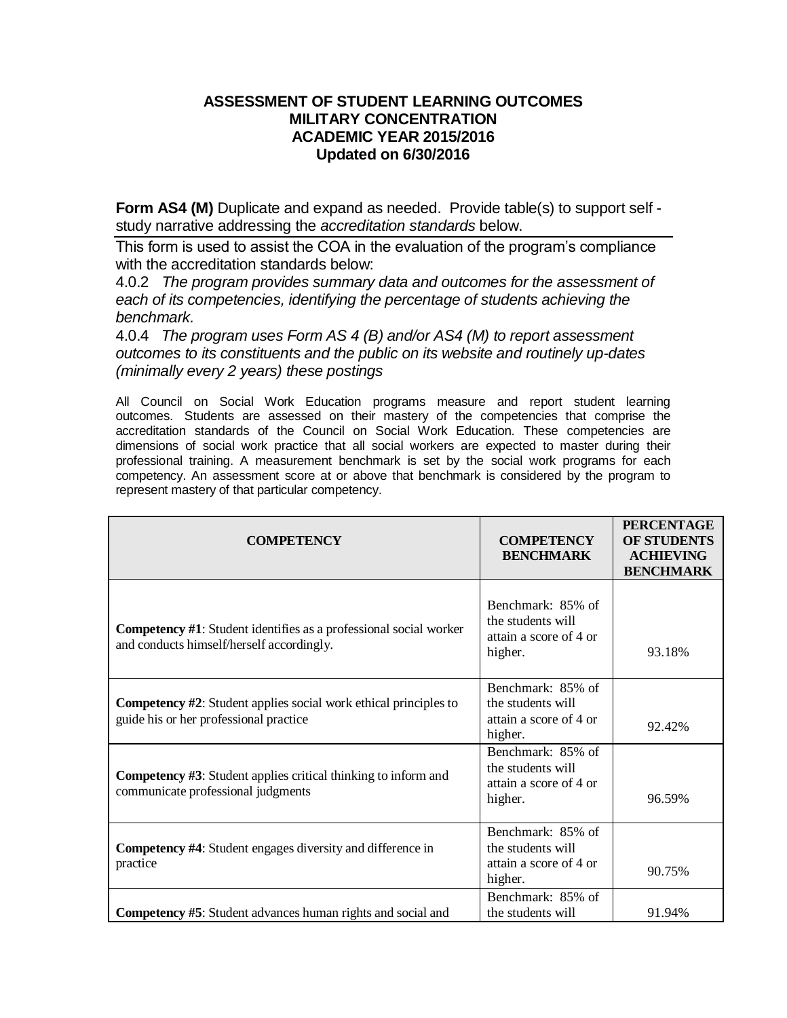## **ASSESSMENT OF STUDENT LEARNING OUTCOMES MILITARY CONCENTRATION ACADEMIC YEAR 2015/2016 Updated on 6/30/2016**

**Form AS4 (M)** Duplicate and expand as needed. Provide table(s) to support self study narrative addressing the *accreditation standards* below.

This form is used to assist the COA in the evaluation of the program's compliance with the accreditation standards below:

4.0.2 *The program provides summary data and outcomes for the assessment of each of its competencies, identifying the percentage of students achieving the benchmark.*

4.0.4 *The program uses Form AS 4 (B) and/or AS4 (M) to report assessment outcomes to its constituents and the public on its website and routinely up-dates (minimally every 2 years) these postings*

All Council on Social Work Education programs measure and report student learning outcomes. Students are assessed on their mastery of the competencies that comprise the accreditation standards of the Council on Social Work Education. These competencies are dimensions of social work practice that all social workers are expected to master during their professional training. A measurement benchmark is set by the social work programs for each competency. An assessment score at or above that benchmark is considered by the program to represent mastery of that particular competency.

| <b>COMPETENCY</b>                                                                                                     | <b>COMPETENCY</b><br><b>BENCHMARK</b>                                       | <b>PERCENTAGE</b><br><b>OF STUDENTS</b><br><b>ACHIEVING</b><br><b>BENCHMARK</b> |
|-----------------------------------------------------------------------------------------------------------------------|-----------------------------------------------------------------------------|---------------------------------------------------------------------------------|
| <b>Competency #1:</b> Student identifies as a professional social worker<br>and conducts himself/herself accordingly. | Benchmark: 85% of<br>the students will<br>attain a score of 4 or<br>higher. | 93.18%                                                                          |
| <b>Competency #2:</b> Student applies social work ethical principles to<br>guide his or her professional practice     | Benchmark: 85% of<br>the students will<br>attain a score of 4 or<br>higher. | 92.42%                                                                          |
| <b>Competency #3:</b> Student applies critical thinking to inform and<br>communicate professional judgments           | Benchmark: 85% of<br>the students will<br>attain a score of 4 or<br>higher. | 96.59%                                                                          |
| <b>Competency #4:</b> Student engages diversity and difference in<br>practice                                         | Benchmark: 85% of<br>the students will<br>attain a score of 4 or<br>higher. | 90.75%                                                                          |
| <b>Competency #5:</b> Student advances human rights and social and                                                    | Benchmark: 85% of<br>the students will                                      | 91.94%                                                                          |